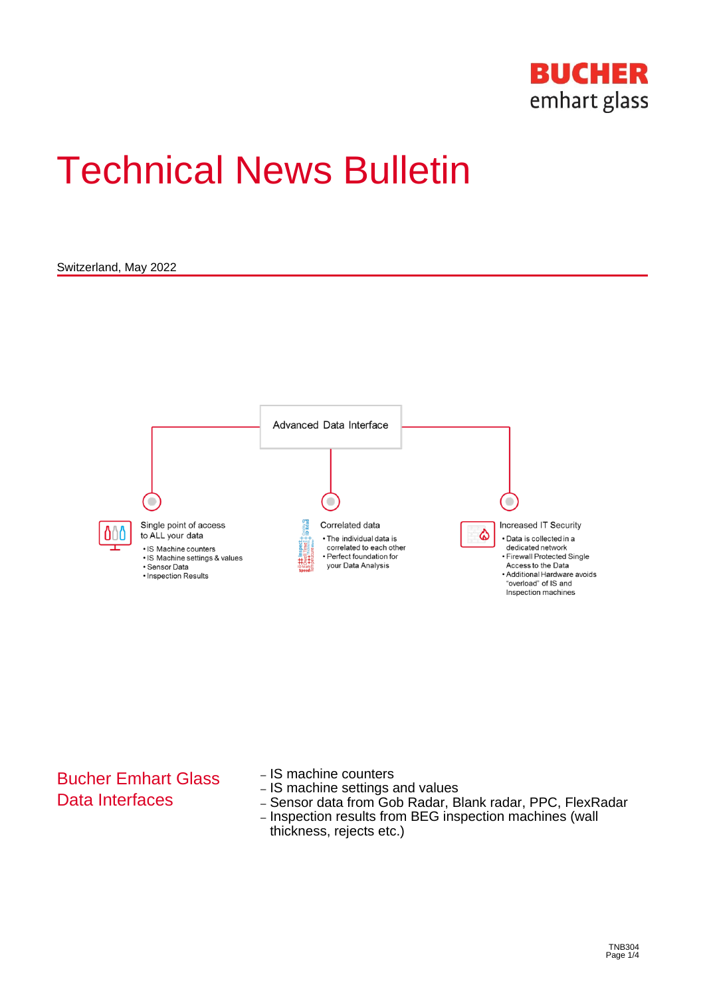

# Technical News Bulletin

Switzerland, May 2022



## Bucher Emhart Glass Data Interfaces

- IS machine counters
- IS machine settings and values
- Sensor data from Gob Radar, Blank radar, PPC, FlexRadar
- Inspection results from BEG inspection machines (wall thickness, rejects etc.)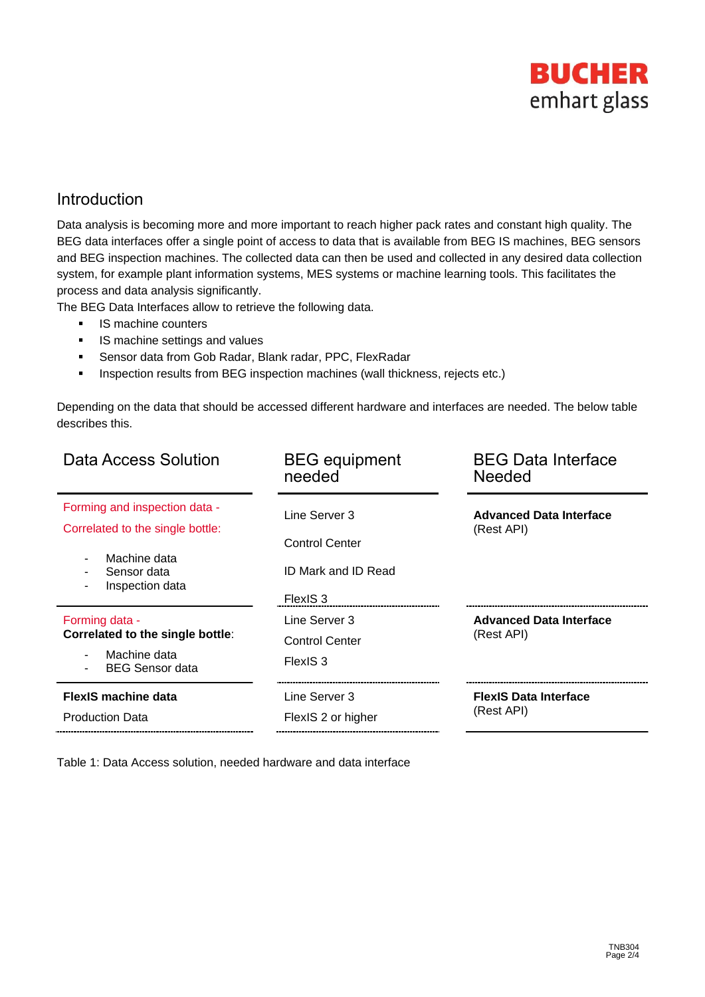

#### Introduction

Data analysis is becoming more and more important to reach higher pack rates and constant high quality. The BEG data interfaces offer a single point of access to data that is available from BEG IS machines, BEG sensors and BEG inspection machines. The collected data can then be used and collected in any desired data collection system, for example plant information systems, MES systems or machine learning tools. This facilitates the process and data analysis significantly.

The BEG Data Interfaces allow to retrieve the following data.

- IS machine counters
- IS machine settings and values
- Sensor data from Gob Radar, Blank radar, PPC, FlexRadar
- **·** Inspection results from BEG inspection machines (wall thickness, rejects etc.)

Depending on the data that should be accessed different hardware and interfaces are needed. The below table describes this.

| Data Access Solution                                                                                                                            | <b>BEG</b> equipment<br>needed                                            | <b>BEG Data Interface</b><br><b>Needed</b>   |
|-------------------------------------------------------------------------------------------------------------------------------------------------|---------------------------------------------------------------------------|----------------------------------------------|
| Forming and inspection data -<br>Correlated to the single bottle:<br>Machine data<br>$\overline{\phantom{a}}$<br>Sensor data<br>Inspection data | Line Server 3<br><b>Control Center</b><br>ID Mark and ID Read             | <b>Advanced Data Interface</b><br>(Rest API) |
| Forming data -<br>Correlated to the single bottle:<br>Machine data<br>٠<br><b>BEG Sensor data</b>                                               | FlexIS <sub>3</sub><br>Line Server 3<br><b>Control Center</b><br>FlexIS 3 | <b>Advanced Data Interface</b><br>(Rest API) |
| <b>FlexIS machine data</b><br><b>Production Data</b>                                                                                            | Line Server 3<br>FlexIS 2 or higher                                       | <b>FlexIS Data Interface</b><br>(Rest API)   |

Table 1: Data Access solution, needed hardware and data interface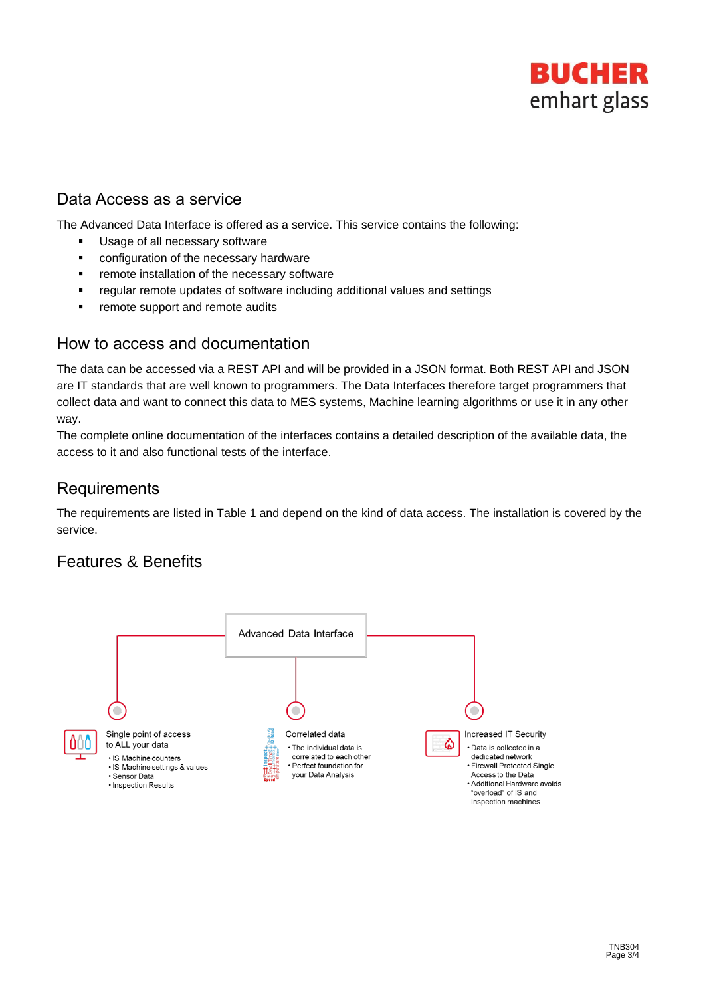

### Data Access as a service

The Advanced Data Interface is offered as a service. This service contains the following:

- Usage of all necessary software
- configuration of the necessary hardware
- **EXEC** remote installation of the necessary software
- regular remote updates of software including additional values and settings
- remote support and remote audits

#### How to access and documentation

The data can be accessed via a REST API and will be provided in a JSON format. Both REST API and JSON are IT standards that are well known to programmers. The Data Interfaces therefore target programmers that collect data and want to connect this data to MES systems, Machine learning algorithms or use it in any other way.

The complete online documentation of the interfaces contains a detailed description of the available data, the access to it and also functional tests of the interface.

## **Requirements**

The requirements are listed in Table 1 and depend on the kind of data access. The installation is covered by the service.

#### Features & Benefits